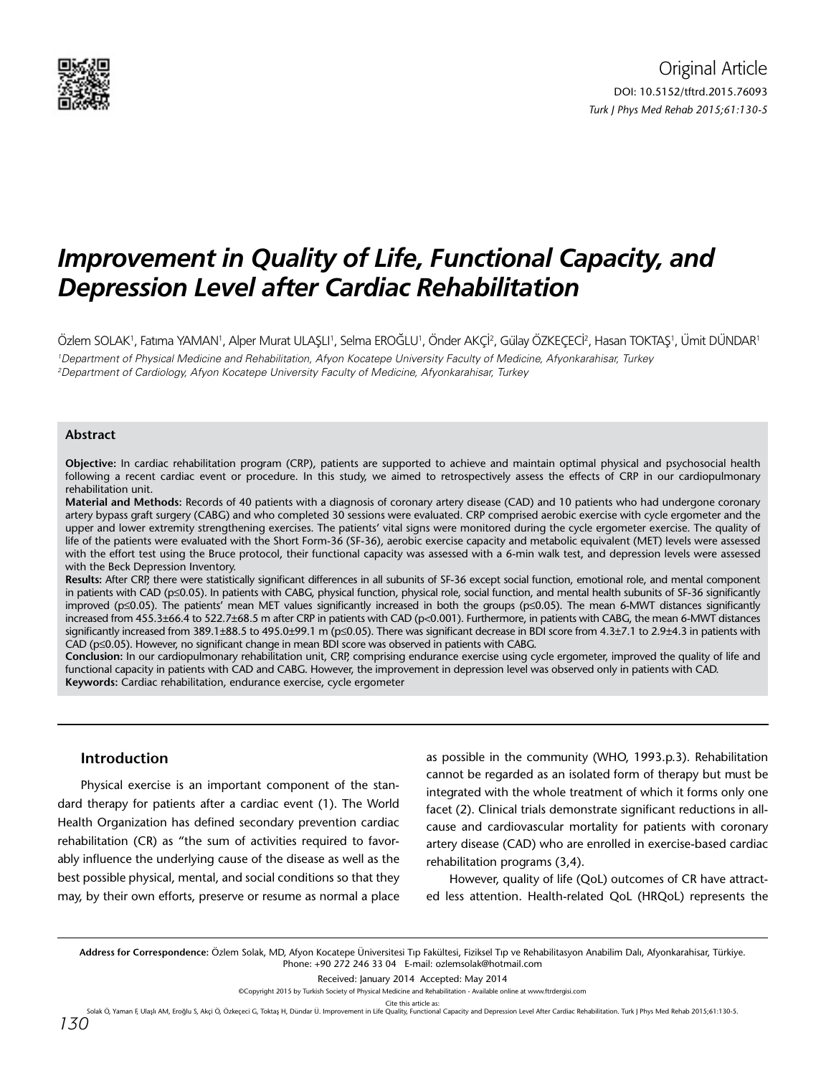

# *Improvement in Quality of Life, Functional Capacity, and Depression Level after Cardiac Rehabilitation*

Özlem SOLAK', Fatıma YAMAN', Alper Murat ULAŞLI', Selma EROĞLU', Önder AKÇİ?, Gülay ÖZKEÇECİ?, Hasan TOKTAŞ', Ümit DÜNDAR' 1 Department of Physical Medicine and Rehabilitation, Afyon Kocatepe University Faculty of Medicine, Afyonkarahisar, Turkey 2 Department of Cardiology, Afyon Kocatepe University Faculty of Medicine, Afyonkarahisar, Turkey

## **Abstract**

**Objective:** In cardiac rehabilitation program (CRP), patients are supported to achieve and maintain optimal physical and psychosocial health following a recent cardiac event or procedure. In this study, we aimed to retrospectively assess the effects of CRP in our cardiopulmonary rehabilitation unit.

**Material and Methods:** Records of 40 patients with a diagnosis of coronary artery disease (CAD) and 10 patients who had undergone coronary artery bypass graft surgery (CABG) and who completed 30 sessions were evaluated. CRP comprised aerobic exercise with cycle ergometer and the upper and lower extremity strengthening exercises. The patients' vital signs were monitored during the cycle ergometer exercise. The quality of life of the patients were evaluated with the Short Form-36 (SF-36), aerobic exercise capacity and metabolic equivalent (MET) levels were assessed with the effort test using the Bruce protocol, their functional capacity was assessed with a 6-min walk test, and depression levels were assessed with the Beck Depression Inventory.

**Results:** After CRP, there were statistically significant differences in all subunits of SF-36 except social function, emotional role, and mental component in patients with CAD (p≤0.05). In patients with CABG, physical function, physical role, social function, and mental health subunits of SF-36 significantly improved (p≤0.05). The patients' mean MET values significantly increased in both the groups (p≤0.05). The mean 6-MWT distances significantly increased from 455.3±66.4 to 522.7±68.5 m after CRP in patients with CAD (p<0.001). Furthermore, in patients with CABG, the mean 6-MWT distances significantly increased from 389.1±88.5 to 495.0±99.1 m (p≤0.05). There was significant decrease in BDI score from 4.3±7.1 to 2.9±4.3 in patients with CAD (p≤0.05). However, no significant change in mean BDI score was observed in patients with CABG.

**Conclusion:** In our cardiopulmonary rehabilitation unit, CRP, comprising endurance exercise using cycle ergometer, improved the quality of life and functional capacity in patients with CAD and CABG. However, the improvement in depression level was observed only in patients with CAD. **Keywords:** Cardiac rehabilitation, endurance exercise, cycle ergometer

## **Introduction**

Physical exercise is an important component of the standard therapy for patients after a cardiac event (1). The World Health Organization has defined secondary prevention cardiac rehabilitation (CR) as "the sum of activities required to favorably influence the underlying cause of the disease as well as the best possible physical, mental, and social conditions so that they may, by their own efforts, preserve or resume as normal a place

as possible in the community (WHO, 1993.p.3). Rehabilitation cannot be regarded as an isolated form of therapy but must be integrated with the whole treatment of which it forms only one facet (2). Clinical trials demonstrate significant reductions in allcause and cardiovascular mortality for patients with coronary artery disease (CAD) who are enrolled in exercise-based cardiac rehabilitation programs (3,4).

However, quality of life (QoL) outcomes of CR have attracted less attention. Health-related QoL (HRQoL) represents the

**Address for Correspondence:** Özlem Solak, MD, Afyon Kocatepe Üniversitesi Tıp Fakültesi, Fiziksel Tıp ve Rehabilitasyon Anabilim Dalı, Afyonkarahisar, Türkiye. Phone: +90 272 246 33 04 E-mail: ozlemsolak@hotmail.com

Received: January 2014 Accepted: May 2014

©Copyright 2015 by Turkish Society of Physical Medicine and Rehabilitation - Available online at www.ftrdergisi.com

Cite this article as:<br>Solak Ö, Yaman F, Ulaşlı AM, Eroğlu S, Akçi Ö, Özkeçeci G, Toktaş H, Dündar Ü. Improvement in Life Quality, Functional Capacity and Depression Level After Cardiac Rehabilitation. Turk J Phys Med Rehab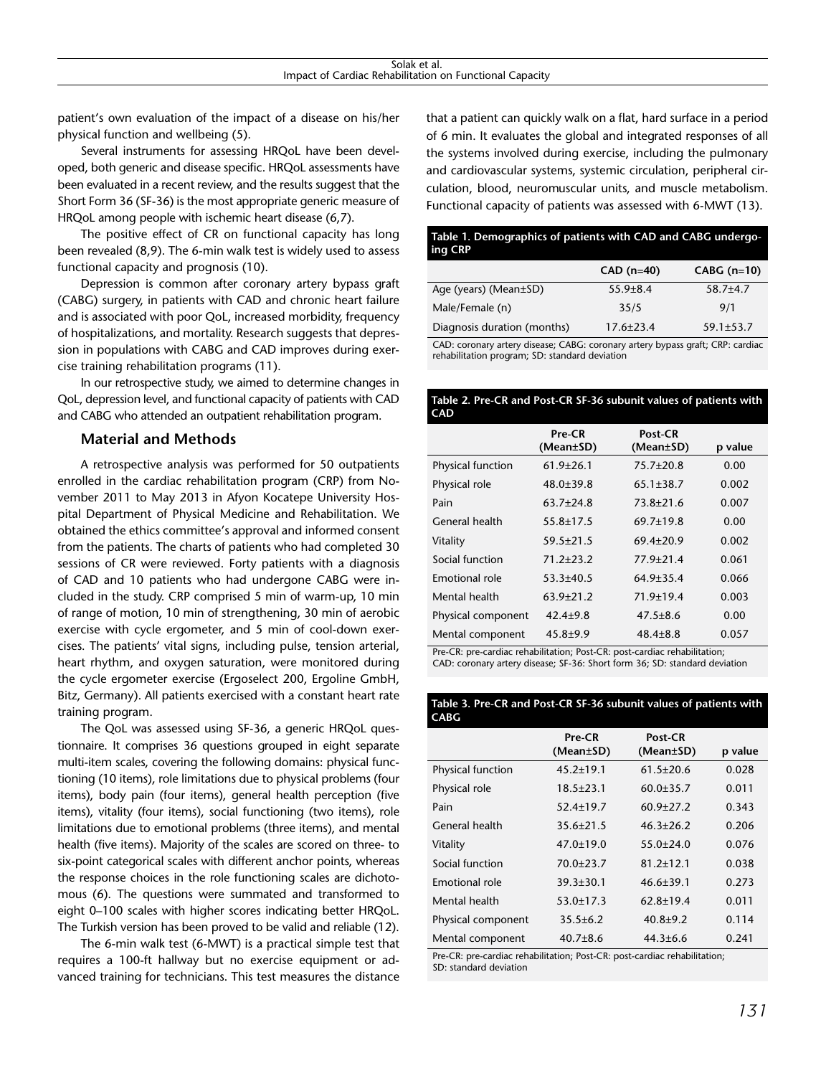patient's own evaluation of the impact of a disease on his/her physical function and wellbeing (5).

Several instruments for assessing HRQoL have been developed, both generic and disease specific. HRQoL assessments have been evaluated in a recent review, and the results suggest that the Short Form 36 (SF-36) is the most appropriate generic measure of HRQoL among people with ischemic heart disease (6,7).

The positive effect of CR on functional capacity has long been revealed (8,9). The 6-min walk test is widely used to assess functional capacity and prognosis (10).

Depression is common after coronary artery bypass graft (CABG) surgery, in patients with CAD and chronic heart failure and is associated with poor QoL, increased morbidity, frequency of hospitalizations, and mortality. Research suggests that depression in populations with CABG and CAD improves during exercise training rehabilitation programs (11).

In our retrospective study, we aimed to determine changes in QoL, depression level, and functional capacity of patients with CAD and CABG who attended an outpatient rehabilitation program.

# **Material and Methods**

A retrospective analysis was performed for 50 outpatients enrolled in the cardiac rehabilitation program (CRP) from November 2011 to May 2013 in Afyon Kocatepe University Hospital Department of Physical Medicine and Rehabilitation. We obtained the ethics committee's approval and informed consent from the patients. The charts of patients who had completed 30 sessions of CR were reviewed. Forty patients with a diagnosis of CAD and 10 patients who had undergone CABG were included in the study. CRP comprised 5 min of warm-up, 10 min of range of motion, 10 min of strengthening, 30 min of aerobic exercise with cycle ergometer, and 5 min of cool-down exercises. The patients' vital signs, including pulse, tension arterial, heart rhythm, and oxygen saturation, were monitored during the cycle ergometer exercise (Ergoselect 200, Ergoline GmbH, Bitz, Germany). All patients exercised with a constant heart rate training program.

The QoL was assessed using SF-36, a generic HRQoL questionnaire. It comprises 36 questions grouped in eight separate multi-item scales, covering the following domains: physical functioning (10 items), role limitations due to physical problems (four items), body pain (four items), general health perception (five items), vitality (four items), social functioning (two items), role limitations due to emotional problems (three items), and mental health (five items). Majority of the scales are scored on three- to six-point categorical scales with different anchor points, whereas the response choices in the role functioning scales are dichotomous (6). The questions were summated and transformed to eight 0–100 scales with higher scores indicating better HRQoL. The Turkish version has been proved to be valid and reliable (12).

The 6-min walk test (6-MWT) is a practical simple test that requires a 100-ft hallway but no exercise equipment or advanced training for technicians. This test measures the distance that a patient can quickly walk on a flat, hard surface in a period of 6 min. It evaluates the global and integrated responses of all the systems involved during exercise, including the pulmonary and cardiovascular systems, systemic circulation, peripheral circulation, blood, neuromuscular units, and muscle metabolism. Functional capacity of patients was assessed with 6-MWT (13).

# **Table 1. Demographics of patients with CAD and CABG undergoing CRP**

|                             | $CAD (n=40)$    | $CABG (n=10)$   |
|-----------------------------|-----------------|-----------------|
| Age (years) (Mean±SD)       | $55.9 + 8.4$    | $58.7 + 4.7$    |
| Male/Female (n)             | 35/5            | 9/1             |
| Diagnosis duration (months) | $17.6 \pm 23.4$ | $59.1 \pm 53.7$ |

CAD: coronary artery disease; CABG: coronary artery bypass graft; CRP: cardiac rehabilitation program; SD: standard deviation

## **Table 2. Pre-CR and Post-CR SF-36 subunit values of patients with CAD**

|                       | Pre-CR<br>(Mean±SD) | Post-CR<br>(Mean±SD) | p value |
|-----------------------|---------------------|----------------------|---------|
| Physical function     | $61.9 \pm 26.1$     | $75.7 \pm 20.8$      | 0.00    |
| Physical role         | $48.0 \pm 39.8$     | $65.1 \pm 38.7$      | 0.002   |
| Pain                  | $63.7 + 24.8$       | $73.8 \pm 21.6$      | 0.007   |
| General health        | $55.8 + 17.5$       | $69.7 + 19.8$        | 0.00    |
| Vitality              | $59.5 \pm 21.5$     | $69.4 + 20.9$        | 0.002   |
| Social function       | $71.2 + 23.2$       | $77.9 + 21.4$        | 0.061   |
| <b>Emotional role</b> | $53.3 + 40.5$       | $64.9 \pm 35.4$      | 0.066   |
| Mental health         | $63.9 \pm 21.2$     | $71.9 + 19.4$        | 0.003   |
| Physical component    | $42.4 + 9.8$        | $47.5 \pm 8.6$       | 0.00    |
| Mental component      | $45.8 + 9.9$        | $48.4 \pm 8.8$       | 0.057   |

Pre-CR: pre-cardiac rehabilitation; Post-CR: post-cardiac rehabilitation; CAD: coronary artery disease; SF-36: Short form 36; SD: standard deviation

## **Table 3. Pre-CR and Post-CR SF-36 subunit values of patients with CABG**

|                    | Pre-CR<br>$(Mean \pm SD)$ | Post-CR<br>(Mean±SD) | p value |
|--------------------|---------------------------|----------------------|---------|
| Physical function  | $45.2 \pm 19.1$           | $61.5 \pm 20.6$      | 0.028   |
| Physical role      | $18.5 \pm 23.1$           | $60.0 \pm 35.7$      | 0.011   |
| Pain               | $52.4 \pm 19.7$           | $60.9 \pm 27.2$      | 0.343   |
| General health     | $35.6 \pm 21.5$           | $46.3 \pm 26.2$      | 0.206   |
| Vitality           | $47.0 \pm 19.0$           | $55.0 \pm 24.0$      | 0.076   |
| Social function    | $70.0 + 23.7$             | $81.2 + 12.1$        | 0.038   |
| Emotional role     | $39.3 \pm 30.1$           | $46.6 \pm 39.1$      | 0.273   |
| Mental health      | $53.0 \pm 17.3$           | $62.8 \pm 19.4$      | 0.011   |
| Physical component | $35.5 \pm 6.2$            | $40.8 + 9.2$         | 0.114   |
| Mental component   | $40.7 \pm 8.6$            | $44.3 \pm 6.6$       | 0.241   |

Pre-CR: pre-cardiac rehabilitation; Post-CR: post-cardiac rehabilitation; SD: standard deviation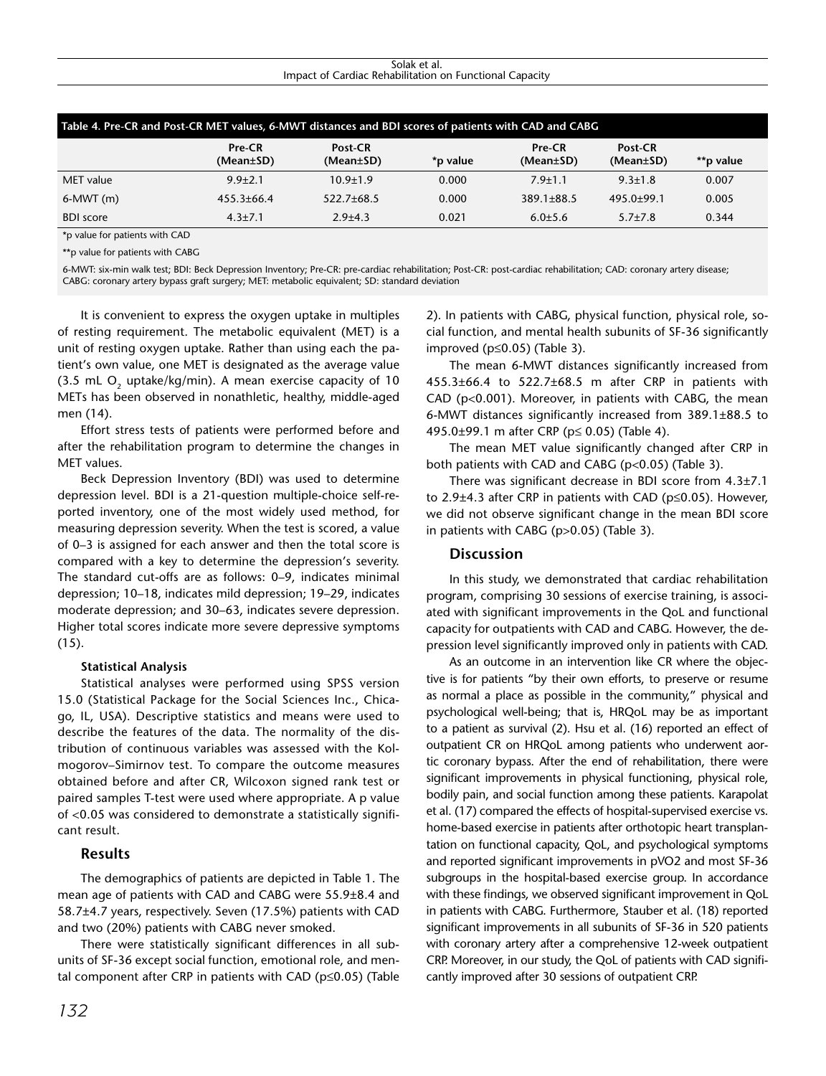#### Solak et al. Impact of Cardiac Rehabilitation on Functional Capacity

| Table 4. Pre-CR and Post-CR MET values, 6-MWT distances and BDI scores of patients with CAD and CABG |                     |                      |          |                     |                            |           |  |
|------------------------------------------------------------------------------------------------------|---------------------|----------------------|----------|---------------------|----------------------------|-----------|--|
|                                                                                                      | Pre-CR<br>(Mean±SD) | Post-CR<br>(Mean±SD) | *p value | Pre-CR<br>(Mean±SD) | Post-CR<br>$(Mean \pm SD)$ | **p value |  |
| MET value                                                                                            | $9.9 + 2.1$         | $10.9 + 1.9$         | 0.000    | $7.9 + 1.1$         | $9.3 + 1.8$                | 0.007     |  |
| $6-MWT(m)$                                                                                           | $455.3 \pm 66.4$    | $522.7 \pm 68.5$     | 0.000    | $389.1 \pm 88.5$    | $495.0 \pm 99.1$           | 0.005     |  |
| <b>BDI</b> score                                                                                     | $4.3 + 7.1$         | $2.9{\pm}4.3$        | 0.021    | $6.0 + 5.6$         | $5.7 \pm 7.8$              | 0.344     |  |

\*p value for patients with CAD

\*\*p value for patients with CABG

6-MWT: six-min walk test; BDI: Beck Depression Inventory; Pre-CR: pre-cardiac rehabilitation; Post-CR: post-cardiac rehabilitation; CAD: coronary artery disease; CABG: coronary artery bypass graft surgery; MET: metabolic equivalent; SD: standard deviation

It is convenient to express the oxygen uptake in multiples of resting requirement. The metabolic equivalent (MET) is a unit of resting oxygen uptake. Rather than using each the patient's own value, one MET is designated as the average value (3.5 mL O<sub>2</sub> uptake/kg/min). A mean exercise capacity of 10 METs has been observed in nonathletic, healthy, middle-aged men (14).

Effort stress tests of patients were performed before and after the rehabilitation program to determine the changes in MET values.

Beck Depression Inventory (BDI) was used to determine depression level. BDI is a 21-question multiple-choice self-reported inventory, one of the most widely used method, for measuring depression severity. When the test is scored, a value of 0–3 is assigned for each answer and then the total score is compared with a key to determine the depression's severity. The standard cut-offs are as follows: 0–9, indicates minimal depression; 10–18, indicates mild depression; 19–29, indicates moderate depression; and 30–63, indicates severe depression. Higher total scores indicate more severe depressive symptoms (15).

## **Statistical Analysis**

Statistical analyses were performed using SPSS version 15.0 (Statistical Package for the Social Sciences Inc., Chicago, IL, USA). Descriptive statistics and means were used to describe the features of the data. The normality of the distribution of continuous variables was assessed with the Kolmogorov–Simirnov test. To compare the outcome measures obtained before and after CR, Wilcoxon signed rank test or paired samples T-test were used where appropriate. A p value of <0.05 was considered to demonstrate a statistically significant result.

# **Results**

The demographics of patients are depicted in Table 1. The mean age of patients with CAD and CABG were 55.9±8.4 and 58.7±4.7 years, respectively. Seven (17.5%) patients with CAD and two (20%) patients with CABG never smoked.

There were statistically significant differences in all subunits of SF-36 except social function, emotional role, and mental component after CRP in patients with CAD (p≤0.05) (Table

2). In patients with CABG, physical function, physical role, social function, and mental health subunits of SF-36 significantly improved (p≤0.05) (Table 3).

The mean 6-MWT distances significantly increased from 455.3±66.4 to 522.7±68.5 m after CRP in patients with CAD (p<0.001). Moreover, in patients with CABG, the mean 6-MWT distances significantly increased from 389.1±88.5 to 495.0±99.1 m after CRP (p≤ 0.05) (Table 4).

The mean MET value significantly changed after CRP in both patients with CAD and CABG (p<0.05) (Table 3).

There was significant decrease in BDI score from 4.3±7.1 to 2.9±4.3 after CRP in patients with CAD (p≤0.05). However, we did not observe significant change in the mean BDI score in patients with CABG (p>0.05) (Table 3).

# **Discussion**

In this study, we demonstrated that cardiac rehabilitation program, comprising 30 sessions of exercise training, is associated with significant improvements in the QoL and functional capacity for outpatients with CAD and CABG. However, the depression level significantly improved only in patients with CAD.

As an outcome in an intervention like CR where the objective is for patients "by their own efforts, to preserve or resume as normal a place as possible in the community," physical and psychological well-being; that is, HRQoL may be as important to a patient as survival (2). Hsu et al. (16) reported an effect of outpatient CR on HRQoL among patients who underwent aortic coronary bypass. After the end of rehabilitation, there were significant improvements in physical functioning, physical role, bodily pain, and social function among these patients. Karapolat et al. (17) compared the effects of hospital-supervised exercise vs. home-based exercise in patients after orthotopic heart transplantation on functional capacity, QoL, and psychological symptoms and reported significant improvements in pVO2 and most SF-36 subgroups in the hospital-based exercise group. In accordance with these findings, we observed significant improvement in QoL in patients with CABG. Furthermore, Stauber et al. (18) reported significant improvements in all subunits of SF-36 in 520 patients with coronary artery after a comprehensive 12-week outpatient CRP. Moreover, in our study, the QoL of patients with CAD significantly improved after 30 sessions of outpatient CRP.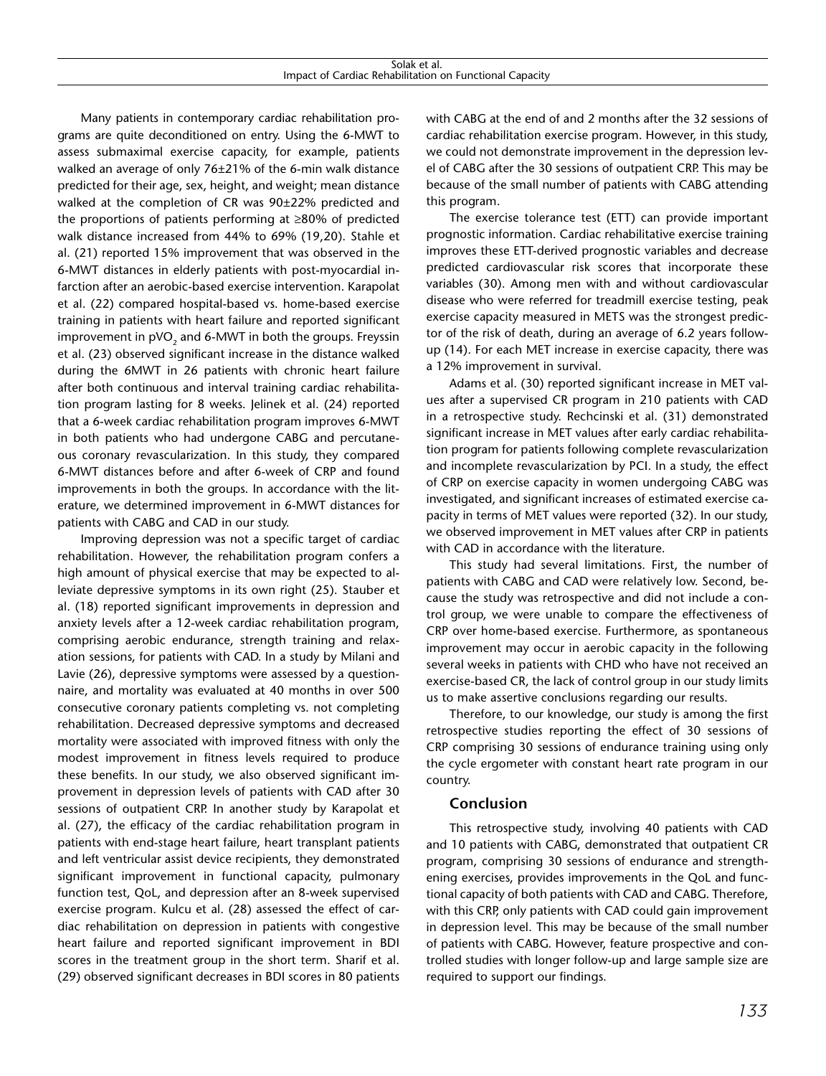Many patients in contemporary cardiac rehabilitation programs are quite deconditioned on entry. Using the 6-MWT to assess submaximal exercise capacity, for example, patients walked an average of only 76±21% of the 6-min walk distance predicted for their age, sex, height, and weight; mean distance walked at the completion of CR was 90±22% predicted and the proportions of patients performing at ≥80% of predicted walk distance increased from 44% to 69% (19,20). Stahle et al. (21) reported 15% improvement that was observed in the 6-MWT distances in elderly patients with post-myocardial infarction after an aerobic-based exercise intervention. Karapolat et al. (22) compared hospital-based vs. home-based exercise training in patients with heart failure and reported significant improvement in  $pVO<sub>2</sub>$  and 6-MWT in both the groups. Freyssin et al. (23) observed significant increase in the distance walked during the 6MWT in 26 patients with chronic heart failure after both continuous and interval training cardiac rehabilitation program lasting for 8 weeks. Jelinek et al. (24) reported that a 6-week cardiac rehabilitation program improves 6-MWT in both patients who had undergone CABG and percutaneous coronary revascularization. In this study, they compared 6-MWT distances before and after 6-week of CRP and found improvements in both the groups. In accordance with the literature, we determined improvement in 6-MWT distances for patients with CABG and CAD in our study.

Improving depression was not a specific target of cardiac rehabilitation. However, the rehabilitation program confers a high amount of physical exercise that may be expected to alleviate depressive symptoms in its own right (25). Stauber et al. (18) reported significant improvements in depression and anxiety levels after a 12-week cardiac rehabilitation program, comprising aerobic endurance, strength training and relaxation sessions, for patients with CAD. In a study by Milani and Lavie (26), depressive symptoms were assessed by a questionnaire, and mortality was evaluated at 40 months in over 500 consecutive coronary patients completing vs. not completing rehabilitation. Decreased depressive symptoms and decreased mortality were associated with improved fitness with only the modest improvement in fitness levels required to produce these benefits. In our study, we also observed significant improvement in depression levels of patients with CAD after 30 sessions of outpatient CRP. In another study by Karapolat et al. (27), the efficacy of the cardiac rehabilitation program in patients with end-stage heart failure, heart transplant patients and left ventricular assist device recipients, they demonstrated significant improvement in functional capacity, pulmonary function test, QoL, and depression after an 8-week supervised exercise program. Kulcu et al. (28) assessed the effect of cardiac rehabilitation on depression in patients with congestive heart failure and reported significant improvement in BDI scores in the treatment group in the short term. Sharif et al. (29) observed significant decreases in BDI scores in 80 patients

with CABG at the end of and 2 months after the 32 sessions of cardiac rehabilitation exercise program. However, in this study, we could not demonstrate improvement in the depression level of CABG after the 30 sessions of outpatient CRP. This may be because of the small number of patients with CABG attending this program.

The exercise tolerance test (ETT) can provide important prognostic information. Cardiac rehabilitative exercise training improves these ETT-derived prognostic variables and decrease predicted cardiovascular risk scores that incorporate these variables (30). Among men with and without cardiovascular disease who were referred for treadmill exercise testing, peak exercise capacity measured in METS was the strongest predictor of the risk of death, during an average of 6.2 years followup (14). For each MET increase in exercise capacity, there was a 12% improvement in survival.

Adams et al. (30) reported significant increase in MET values after a supervised CR program in 210 patients with CAD in a retrospective study. Rechcinski et al. (31) demonstrated significant increase in MET values after early cardiac rehabilitation program for patients following complete revascularization and incomplete revascularization by PCI. In a study, the effect of CRP on exercise capacity in women undergoing CABG was investigated, and significant increases of estimated exercise capacity in terms of MET values were reported (32). In our study, we observed improvement in MET values after CRP in patients with CAD in accordance with the literature.

This study had several limitations. First, the number of patients with CABG and CAD were relatively low. Second, because the study was retrospective and did not include a control group, we were unable to compare the effectiveness of CRP over home-based exercise. Furthermore, as spontaneous improvement may occur in aerobic capacity in the following several weeks in patients with CHD who have not received an exercise-based CR, the lack of control group in our study limits us to make assertive conclusions regarding our results.

Therefore, to our knowledge, our study is among the first retrospective studies reporting the effect of 30 sessions of CRP comprising 30 sessions of endurance training using only the cycle ergometer with constant heart rate program in our country.

# **Conclusion**

This retrospective study, involving 40 patients with CAD and 10 patients with CABG, demonstrated that outpatient CR program, comprising 30 sessions of endurance and strengthening exercises, provides improvements in the QoL and functional capacity of both patients with CAD and CABG. Therefore, with this CRP, only patients with CAD could gain improvement in depression level. This may be because of the small number of patients with CABG. However, feature prospective and controlled studies with longer follow-up and large sample size are required to support our findings.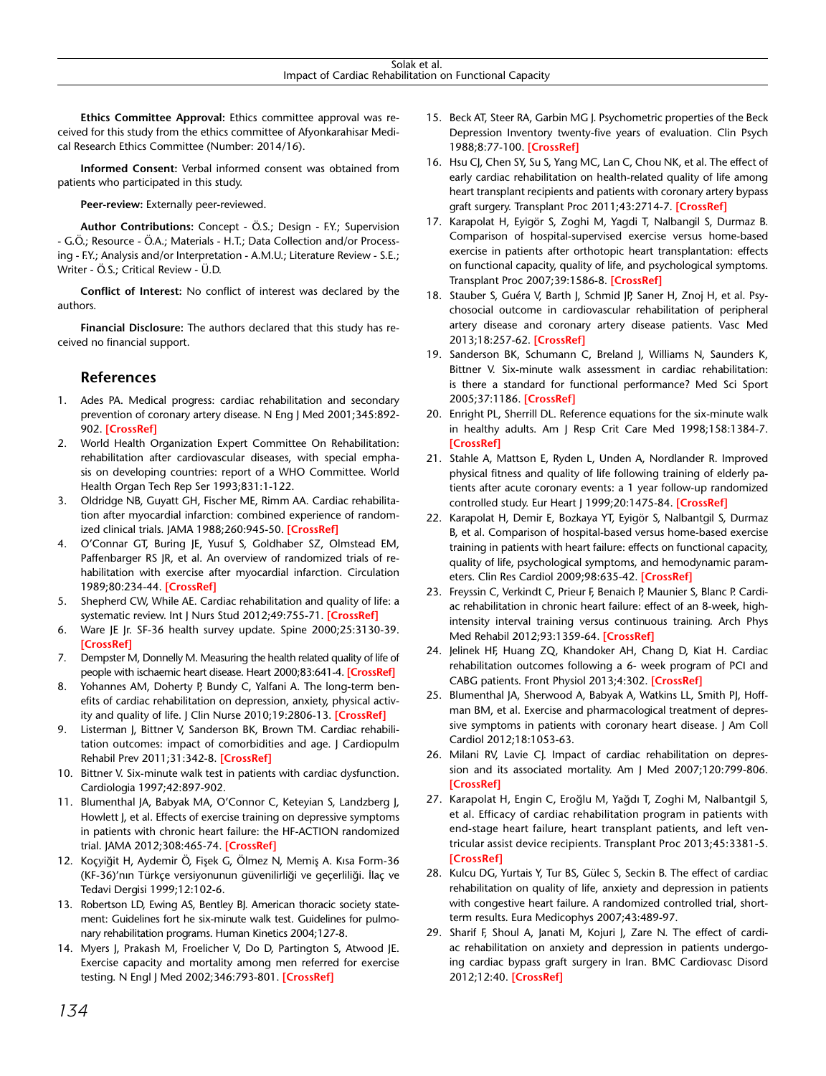**Ethics Committee Approval:** Ethics committee approval was received for this study from the ethics committee of Afyonkarahisar Medical Research Ethics Committee (Number: 2014/16).

**Informed Consent:** Verbal informed consent was obtained from patients who participated in this study.

**Peer-review:** Externally peer-reviewed.

**Author Contributions:** Concept - Ö.S.; Design - F.Y.; Supervision - G.Ö.; Resource - Ö.A.; Materials - H.T.; Data Collection and/or Processing - F.Y.; Analysis and/or Interpretation - A.M.U.; Literature Review - S.E.; Writer - Ö.S.; Critical Review - Ü.D.

**Conflict of Interest:** No conflict of interest was declared by the authors.

**Financial Disclosure:** The authors declared that this study has received no financial support.

# **References**

- 1. Ades PA. Medical progress: cardiac rehabilitation and secondary prevention of coronary artery disease. N Eng J Med 2001;345:892- 902. **[[CrossRef](http://dx.doi.org/10.1056/NEJMra001529)]**
- 2. World Health Organization Expert Committee On Rehabilitation: rehabilitation after cardiovascular diseases, with special emphasis on developing countries: report of a WHO Committee. World Health Organ Tech Rep Ser 1993;831:1-122.
- 3. Oldridge NB, Guyatt GH, Fischer ME, Rimm AA. Cardiac rehabilitation after myocardial infarction: combined experience of randomized clinical trials. JAMA 1988;260:945-50. **[[CrossRef](http://dx.doi.org/10.1001/jama.1988.03410070073031)]**
- 4. O'Connar GT, Buring JE, Yusuf S, Goldhaber SZ, Olmstead EM, Paffenbarger RS JR, et al. An overview of randomized trials of rehabilitation with exercise after myocardial infarction. Circulation 1989;80:234-44. **[[CrossRef](http://dx.doi.org/10.1161/01.CIR.80.2.234)]**
- 5. Shepherd CW, While AE. Cardiac rehabilitation and quality of life: a systematic review. Int J Nurs Stud 2012;49:755-71. **[\[CrossRef](http://dx.doi.org/10.1016/j.ijnurstu.2011.11.019)]**
- 6. Ware JE Jr. SF-36 health survey update. Spine 2000;25:3130-39. **[\[CrossRef\]](http://dx.doi.org/10.1097/00007632-200012150-00008)**
- 7. Dempster M, Donnelly M. Measuring the health related quality of life of people with ischaemic heart disease. Heart 2000;83:641-4. **[[CrossRef](http://dx.doi.org/10.1136/heart.83.6.641)]**
- 8. Yohannes AM, Doherty P, Bundy C, Yalfani A. The long-term benefits of cardiac rehabilitation on depression, anxiety, physical activity and quality of life. J Clin Nurse 2010;19:2806-13. **[CrossRef]**
- 9. Listerman J, Bittner V, Sanderson BK, Brown TM. Cardiac rehabilitation outcomes: impact of comorbidities and age. J Cardiopulm Rehabil Prev 2011;31:342-8. **[CrossRef]**
- 10. Bittner V. Six-minute walk test in patients with cardiac dysfunction. Cardiologia 1997;42:897-902.
- 11. Blumenthal JA, Babyak MA, O'Connor C, Keteyian S, Landzberg J, Howlett J, et al. Effects of exercise training on depressive symptoms in patients with chronic heart failure: the HF-ACTION randomized trial. JAMA 2012;308:465-74. **[CrossRef]**
- 12. Koçyiğit H, Aydemir Ö, Fişek G, Ölmez N, Memiş A. Kısa Form-36 (KF-36)'nın Türkçe versiyonunun güvenilirliği ve geçerliliği. İlaç ve Tedavi Dergisi 1999;12:102-6.
- 13. Robertson LD, Ewing AS, Bentley BJ. American thoracic society statement: Guidelines fort he six-minute walk test. Guidelines for pulmonary rehabilitation programs. Human Kinetics 2004;127-8.
- 14. Myers J, Prakash M, Froelicher V, Do D, Partington S, Atwood JE. Exercise capacity and mortality among men referred for exercise testing. N Engl J Med 2002;346:793-801. **[\[CrossRef\]](http://dx.doi.org/10.1056/NEJMoa011858)**
- 15. Beck AT, Steer RA, Garbin MG J. Psychometric properties of the Beck Depression Inventory twenty-five years of evaluation. Clin Psych 1988;8:77-100. **[\[CrossRef\]](http://dx.doi.org/10.1016/0272-7358(88)90050-5)**
- 16. Hsu CJ, Chen SY, Su S, Yang MC, Lan C, Chou NK, et al. The effect of early cardiac rehabilitation on health-related quality of life among heart transplant recipients and patients with coronary artery bypass graft surgery. Transplant Proc 2011;43:2714-7. **[\[CrossRef\]](http://dx.doi.org/10.1016/j.transproceed.2011.04.025)**
- 17. Karapolat H, Eyigör S, Zoghi M, Yagdi T, Nalbangil S, Durmaz B. Comparison of hospital-supervised exercise versus home-based exercise in patients after orthotopic heart transplantation: effects on functional capacity, quality of life, and psychological symptoms. Transplant Proc 2007;39:1586-8. **[\[CrossRef\]](http://dx.doi.org/10.1016/j.transproceed.2007.01.079)**
- 18. Stauber S, Guéra V, Barth J, Schmid JP, Saner H, Znoj H, et al. Psychosocial outcome in cardiovascular rehabilitation of peripheral artery disease and coronary artery disease patients. Vasc Med 2013;18:257-62. **[[CrossRef](http://dx.doi.org/10.1177/1358863X13505861)]**
- 19. Sanderson BK, Schumann C, Breland J, Williams N, Saunders K, Bittner V. Six-minute walk assessment in cardiac rehabilitation: is there a standard for functional performance? Med Sci Sport 2005;37:1186. **[[CrossRef\]](http://dx.doi.org/10.1249/00005768-200505001-01183)**
- 20. Enright PL, Sherrill DL. Reference equations for the six-minute walk in healthy adults. Am J Resp Crit Care Med 1998;158:1384-7. **[\[CrossRef\]](http://dx.doi.org/10.1164/ajrccm.158.5.9710086)**
- 21. Stahle A, Mattson E, Ryden L, Unden A, Nordlander R. Improved physical fitness and quality of life following training of elderly patients after acute coronary events: a 1 year follow-up randomized controlled study. Eur Heart J 1999;20:1475-84. **[[CrossRef](http://dx.doi.org/10.1007/s00392-009-0049-6)]**
- 22. Karapolat H, Demir E, Bozkaya YT, Eyigör S, Nalbantgil S, Durmaz B, et al. Comparison of hospital-based versus home-based exercise training in patients with heart failure: effects on functional capacity, quality of life, psychological symptoms, and hemodynamic parameters. Clin Res Cardiol 2009;98:635-42. **[[CrossRef](http://dx.doi.org/10.1016/j.apmr.2012.03.007)]**
- 23. Freyssin C, Verkindt C, Prieur F, Benaich P, Maunier S, Blanc P. Cardiac rehabilitation in chronic heart failure: effect of an 8-week, highintensity interval training versus continuous training. Arch Phys Med Rehabil 2012;93:1359-64. **[[CrossRef](http://dx.doi.org/10.3389/fphys.2013.00302)]**
- 24. Jelinek HF, Huang ZQ, Khandoker AH, Chang D, Kiat H. Cardiac rehabilitation outcomes following a 6- week program of PCI and CABG patients. Front Physiol 2013;4:302. **[\[CrossRef\]](http://dx.doi.org/10.1016/j.jacc.2012.04.040)**
- 25. Blumenthal JA, Sherwood A, Babyak A, Watkins LL, Smith PJ, Hoffman BM, et al. Exercise and pharmacological treatment of depressive symptoms in patients with coronary heart disease. J Am Coll Cardiol 2012;18:1053-63.
- 26. Milani RV, Lavie CJ. Impact of cardiac rehabilitation on depression and its associated mortality. Am J Med 2007;120:799-806. **[\[CrossRef\]](http://dx.doi.org/10.1016/j.amjmed.2007.03.026)**
- 27. Karapolat H, Engin C, Eroğlu M, Yağdı T, Zoghi M, Nalbantgil S, et al. Efficacy of cardiac rehabilitation program in patients with end-stage heart failure, heart transplant patients, and left ventricular assist device recipients. Transplant Proc 2013;45:3381-5. **[[CrossRef](http://dx.doi.org/10.1016/j.transproceed.2013.06.009)]**
- 28. Kulcu DG, Yurtais Y, Tur BS, Gülec S, Seckin B. The effect of cardiac rehabilitation on quality of life, anxiety and depression in patients with congestive heart failure. A randomized controlled trial, shortterm results. Eura Medicophys 2007;43:489-97.
- 29. Sharif F, Shoul A, Janati M, Kojuri J, Zare N. The effect of cardiac rehabilitation on anxiety and depression in patients undergoing cardiac bypass graft surgery in Iran. BMC Cardiovasc Disord 2012;12:40. **[\[CrossRef\]](http://dx.doi.org/10.1186/1471-2261-12-40)**